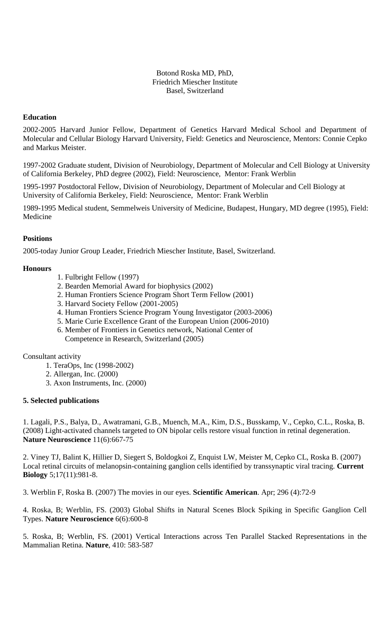### Botond Roska MD, PhD, Friedrich Miescher Institute Basel, Switzerland

# **Education**

2002-2005 Harvard Junior Fellow, Department of Genetics Harvard Medical School and Department of Molecular and Cellular Biology Harvard University, Field: Genetics and Neuroscience, Mentors: Connie Cepko and Markus Meister.

1997-2002 Graduate student, Division of Neurobiology, Department of Molecular and Cell Biology at University of California Berkeley, PhD degree (2002), Field: Neuroscience, Mentor: Frank Werblin

1995-1997 Postdoctoral Fellow, Division of Neurobiology, Department of Molecular and Cell Biology at University of California Berkeley, Field: Neuroscience, Mentor: Frank Werblin

1989-1995 Medical student, Semmelweis University of Medicine, Budapest, Hungary, MD degree (1995), Field: Medicine

# **Positions**

2005-today Junior Group Leader, Friedrich Miescher Institute, Basel, Switzerland.

# **Honours**

- 1. Fulbright Fellow (1997)
- 2. Bearden Memorial Award for biophysics (2002)
- 2. Human Frontiers Science Program Short Term Fellow (2001)
- 3. Harvard Society Fellow (2001-2005)
- 4. Human Frontiers Science Program Young Investigator (2003-2006)
- 5. Marie Curie Excellence Grant of the European Union (2006-2010)
- 6. Member of Frontiers in Genetics network, National Center of Competence in Research, Switzerland (2005)

Consultant activity

- 1. TeraOps, Inc (1998-2002)
- 2. Allergan, Inc. (2000)
- 3. Axon Instruments, Inc. (2000)

### **5. Selected publications**

1. Lagali, P.S., Balya, D., Awatramani, G.B., Muench, M.A., Kim, D.S., Busskamp, V., Cepko, C.L., Roska, B. (2008) Light-activated channels targeted to ON bipolar cells restore visual function in retinal degeneration. **Nature Neuroscience** 11(6):667-75

2. Viney TJ, Balint K, Hillier D, Siegert S, Boldogkoi Z, Enquist LW, Meister M, Cepko CL, Roska B. (2007) Local retinal circuits of melanopsin-containing ganglion cells identified by transsynaptic viral tracing. **Current Biology** 5;17(11):981-8.

3. Werblin F, Roska B. (2007) The movies in our eyes. **Scientific American**. Apr; 296 (4):72-9

4. Roska, B; Werblin, FS. (2003) Global Shifts in Natural Scenes Block Spiking in Specific Ganglion Cell Types. **Nature Neuroscience** 6(6):600-8

5. Roska, B; Werblin, FS. (2001) Vertical Interactions across Ten Parallel Stacked Representations in the Mammalian Retina. **Nature**, 410: 583-587